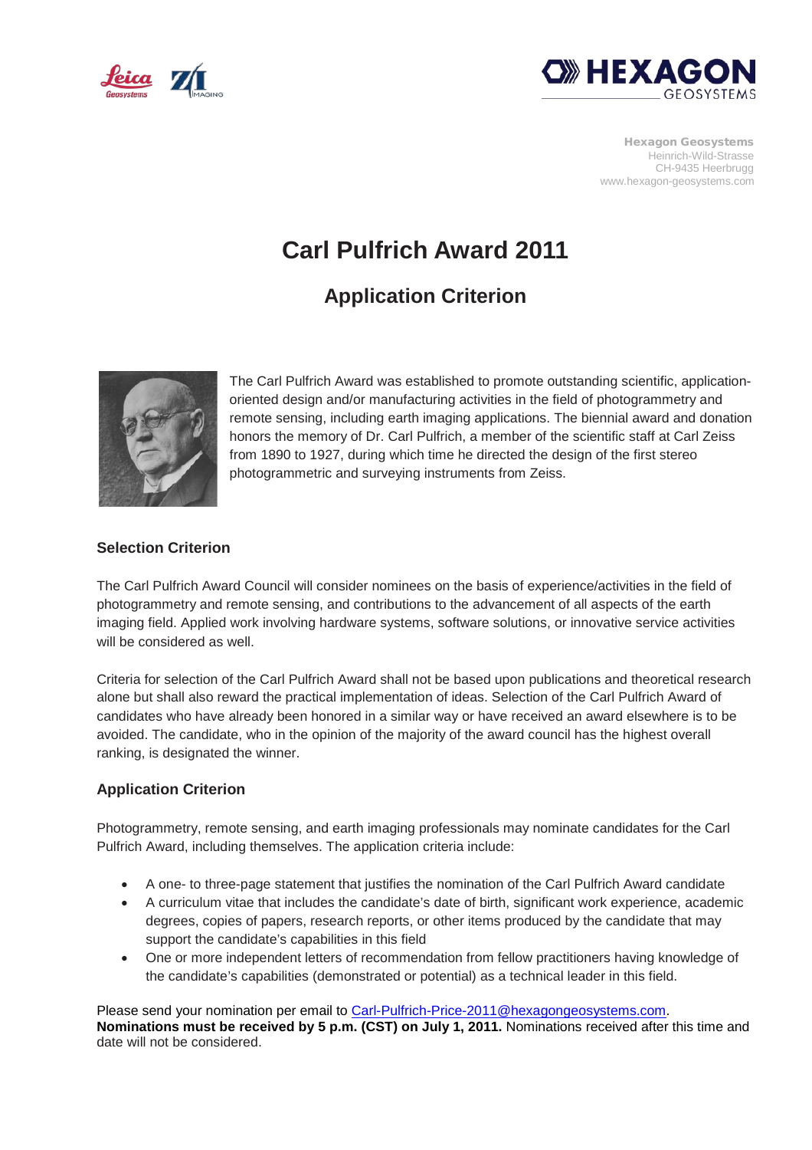



Hexagon Geosystems Heinrich-Wild-Strasse CH-9435 Heerbrugg www.hexagon-geosystems.com

# **Carl Pulfrich Award 2011**

## **Application Criterion**



The Carl Pulfrich Award was established to promote outstanding scientific, applicationoriented design and/or manufacturing activities in the field of photogrammetry and remote sensing, including earth imaging applications. The biennial award and donation honors the memory of Dr. Carl Pulfrich, a member of the scientific staff at Carl Zeiss from 1890 to 1927, during which time he directed the design of the first stereo photogrammetric and surveying instruments from Zeiss.

#### **Selection Criterion**

The Carl Pulfrich Award Council will consider nominees on the basis of experience/activities in the field of photogrammetry and remote sensing, and contributions to the advancement of all aspects of the earth imaging field. Applied work involving hardware systems, software solutions, or innovative service activities will be considered as well.

Criteria for selection of the Carl Pulfrich Award shall not be based upon publications and theoretical research alone but shall also reward the practical implementation of ideas. Selection of the Carl Pulfrich Award of candidates who have already been honored in a similar way or have received an award elsewhere is to be avoided. The candidate, who in the opinion of the majority of the award council has the highest overall ranking, is designated the winner.

#### **Application Criterion**

Photogrammetry, remote sensing, and earth imaging professionals may nominate candidates for the Carl Pulfrich Award, including themselves. The application criteria include:

- A one- to three-page statement that justifies the nomination of the Carl Pulfrich Award candidate
- A curriculum vitae that includes the candidate's date of birth, significant work experience, academic degrees, copies of papers, research reports, or other items produced by the candidate that may support the candidate's capabilities in this field
- One or more independent letters of recommendation from fellow practitioners having knowledge of the candidate's capabilities (demonstrated or potential) as a technical leader in this field.

Please send your nomination per email to [Carl-Pulfrich-Price-2011@hexagongeosystems.com.](mailto:Carl-Pulfrich-Price-2011@hexagongeosystems.com) **Nominations must be received by 5 p.m. (CST) on July 1, 2011.** Nominations received after this time and date will not be considered.